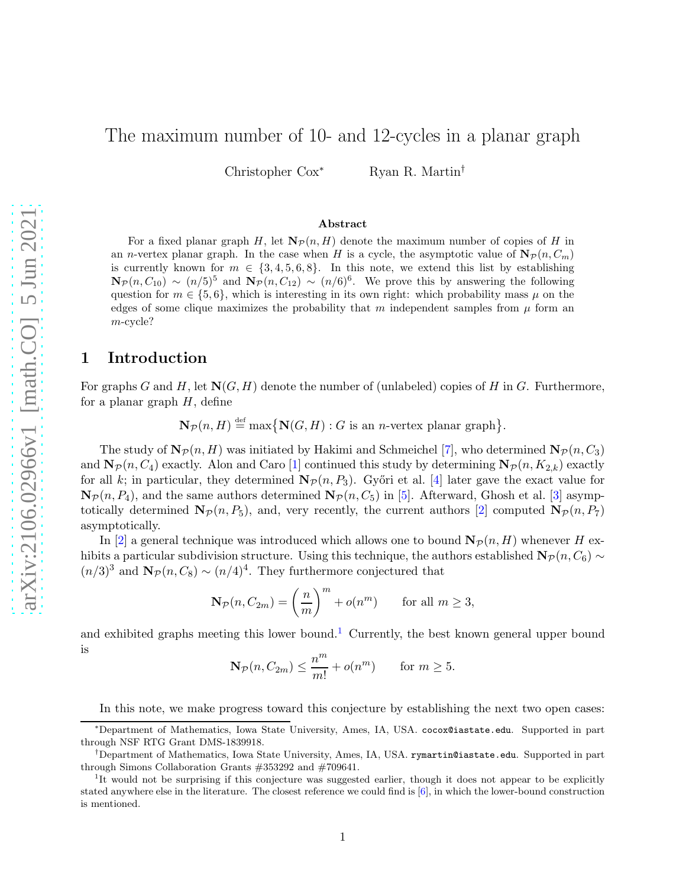# The maximum number of 10- and 12-cycles in a planar graph

Christopher  $\text{Cox}^*$  Ryan R. Martin<sup>†</sup>

#### Abstract

For a fixed planar graph H, let  $N_{\mathcal{P}}(n, H)$  denote the maximum number of copies of H in an *n*-vertex planar graph. In the case when H is a cycle, the asymptotic value of  $N_{\mathcal{P}}(n, C_m)$ is currently known for  $m \in \{3, 4, 5, 6, 8\}$ . In this note, we extend this list by establishing  $\mathbf{N}_{\mathcal{P}}(n, C_{10}) \sim (n/5)^5$  and  $\mathbf{N}_{\mathcal{P}}(n, C_{12}) \sim (n/6)^6$ . We prove this by answering the following question for  $m \in \{5, 6\}$ , which is interesting in its own right: which probability mass  $\mu$  on the edges of some clique maximizes the probability that m independent samples from  $\mu$  form an m-cycle?

#### 1 Introduction

For graphs G and H, let  $N(G, H)$  denote the number of (unlabeled) copies of H in G. Furthermore, for a planar graph  $H$ , define

 $\mathbf{N}_{\mathcal{P}}(n, H) \stackrel{\text{def}}{=} \max \{ \mathbf{N}(G, H) : G \text{ is an } n\text{-vertex planar graph} \}.$ 

The study of  $\mathbf{N}_{\mathcal{P}}(n, H)$  was initiated by Hakimi and Schmeichel [\[7\]](#page-6-0), who determined  $\mathbf{N}_{\mathcal{P}}(n, C_3)$ and  $\mathbf{N}_{\mathcal{P}}(n, C_4)$  exactly. Alon and Caro [\[1\]](#page-6-1) continued this study by determining  $\mathbf{N}_{\mathcal{P}}(n, K_{2,k})$  exactly for all k; in particular, they determined  $\mathbf{N}_{\mathcal{P}}(n, P_3)$ . Győri et al. [\[4\]](#page-6-2) later gave the exact value for  $\mathbf{N}_{\mathcal{P}}(n, P_4)$ , and the same authors determined  $\mathbf{N}_{\mathcal{P}}(n, C_5)$  in [\[5\]](#page-6-3). Afterward, Ghosh et al. [\[3\]](#page-6-4) asymptotically determined  $\mathbf{N}_{\mathcal{P}}(n, P_5)$ , and, very recently, the current authors [\[2\]](#page-6-5) computed  $\mathbf{N}_{\mathcal{P}}(n, P_7)$ asymptotically.

In [\[2\]](#page-6-5) a general technique was introduced which allows one to bound  $N_{\mathcal{P}}(n, H)$  whenever H exhibits a particular subdivision structure. Using this technique, the authors established  $\mathbf{N}_{\mathcal{P}}(n, C_6) \sim$  $(n/3)^3$  and  $\mathbf{N}_{\mathcal{P}}(n, C_8) \sim (n/4)^4$ . They furthermore conjectured that

$$
\mathbf{N}_{\mathcal{P}}(n, C_{2m}) = \left(\frac{n}{m}\right)^m + o(n^m) \quad \text{for all } m \ge 3,
$$

and exhibited graphs meeting this lower bound.<sup>[1](#page-0-0)</sup> Currently, the best known general upper bound is m

$$
\mathbf{N}_{\mathcal{P}}(n, C_{2m}) \le \frac{n^m}{m!} + o(n^m) \quad \text{for } m \ge 5.
$$

<span id="page-0-1"></span>In this note, we make progress toward this conjecture by establishing the next two open cases:

<sup>∗</sup>Department of Mathematics, Iowa State University, Ames, IA, USA. cocox@iastate.edu. Supported in part through NSF RTG Grant DMS-1839918.

<sup>†</sup>Department of Mathematics, Iowa State University, Ames, IA, USA. rymartin@iastate.edu. Supported in part through Simons Collaboration Grants #353292 and #709641.

<span id="page-0-0"></span><sup>&</sup>lt;sup>1</sup>It would not be surprising if this conjecture was suggested earlier, though it does not appear to be explicitly stated anywhere else in the literature. The closest reference we could find is [\[6\]](#page-6-6), in which the lower-bound construction is mentioned.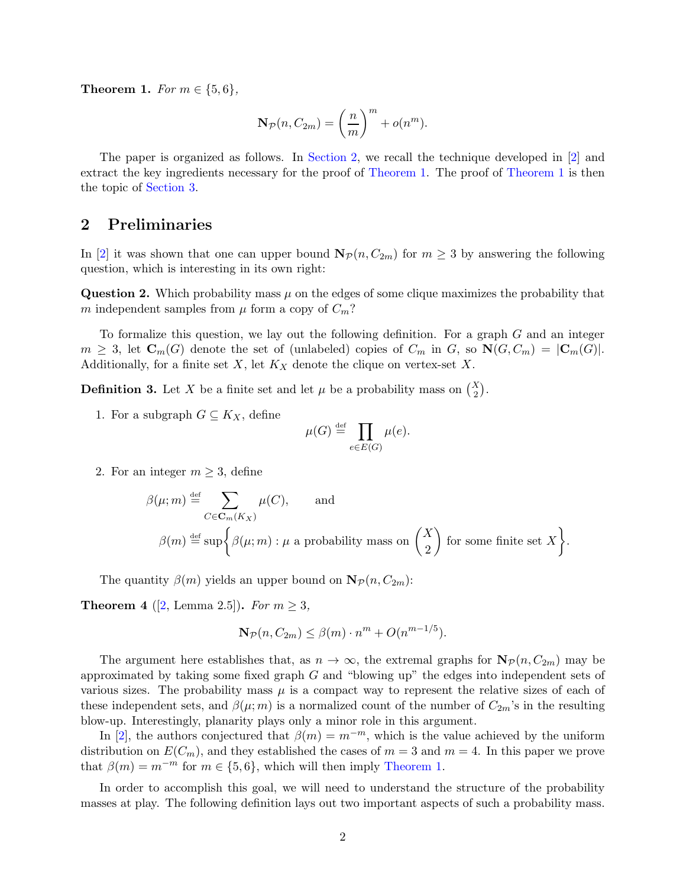**Theorem 1.** *For*  $m \in \{5, 6\}$ *,* 

$$
\mathbf{N}_{\mathcal{P}}(n, C_{2m}) = \left(\frac{n}{m}\right)^m + o(n^m).
$$

The paper is organized as follows. In [Section 2,](#page-1-0) we recall the technique developed in [\[2\]](#page-6-5) and extract the key ingredients necessary for the proof of [Theorem 1.](#page-0-1) The proof of [Theorem 1](#page-0-1) is then the topic of [Section 3.](#page-3-0)

#### <span id="page-1-0"></span>2 Preliminaries

In [\[2\]](#page-6-5) it was shown that one can upper bound  $\mathbf{N}_{\mathcal{P}}(n, C_{2m})$  for  $m \geq 3$  by answering the following question, which is interesting in its own right:

**Question 2.** Which probability mass  $\mu$  on the edges of some clique maximizes the probability that m independent samples from  $\mu$  form a copy of  $C_m$ ?

To formalize this question, we lay out the following definition. For a graph G and an integer  $m \geq 3$ , let  $\mathbf{C}_m(G)$  denote the set of (unlabeled) copies of  $C_m$  in  $G$ , so  $\mathbf{N}(G, C_m) = |\mathbf{C}_m(G)|$ . Additionally, for a finite set  $X$ , let  $K_X$  denote the clique on vertex-set  $X$ .

**Definition 3.** Let X be a finite set and let  $\mu$  be a probability mass on  $\binom{X}{2}$ .

1. For a subgraph  $G \subseteq K_X$ , define

$$
\mu(G) \stackrel{\text{def}}{=} \prod_{e \in E(G)} \mu(e).
$$

2. For an integer  $m \geq 3$ , define

$$
\beta(\mu; m) \stackrel{\text{def}}{=} \sum_{C \in \mathbf{C}_m(K_X)} \mu(C), \quad \text{and}
$$
  

$$
\beta(m) \stackrel{\text{def}}{=} \sup \left\{ \beta(\mu; m) : \mu \text{ a probability mass on } \left( \frac{X}{2} \right) \text{ for some finite set } X \right\}.
$$

<span id="page-1-1"></span>The quantity  $\beta(m)$  yields an upper bound on  $\mathbf{N}_{\mathcal{P}}(n, C_{2m})$ :

**Theorem 4** ([\[2,](#page-6-5) Lemma 2.5]). *For*  $m \geq 3$ ,

$$
\mathbf{N}_{\mathcal{P}}(n, C_{2m}) \leq \beta(m) \cdot n^m + O(n^{m-1/5}).
$$

The argument here establishes that, as  $n \to \infty$ , the extremal graphs for  $N_{\mathcal{P}}(n, C_{2m})$  may be approximated by taking some fixed graph G and "blowing up" the edges into independent sets of various sizes. The probability mass  $\mu$  is a compact way to represent the relative sizes of each of these independent sets, and  $\beta(\mu; m)$  is a normalized count of the number of  $C_{2m}$ 's in the resulting blow-up. Interestingly, planarity plays only a minor role in this argument.

In [\[2\]](#page-6-5), the authors conjectured that  $\beta(m) = m^{-m}$ , which is the value achieved by the uniform distribution on  $E(C_m)$ , and they established the cases of  $m = 3$  and  $m = 4$ . In this paper we prove that  $\beta(m) = m^{-m}$  for  $m \in \{5, 6\}$ , which will then imply [Theorem 1.](#page-0-1)

In order to accomplish this goal, we will need to understand the structure of the probability masses at play. The following definition lays out two important aspects of such a probability mass.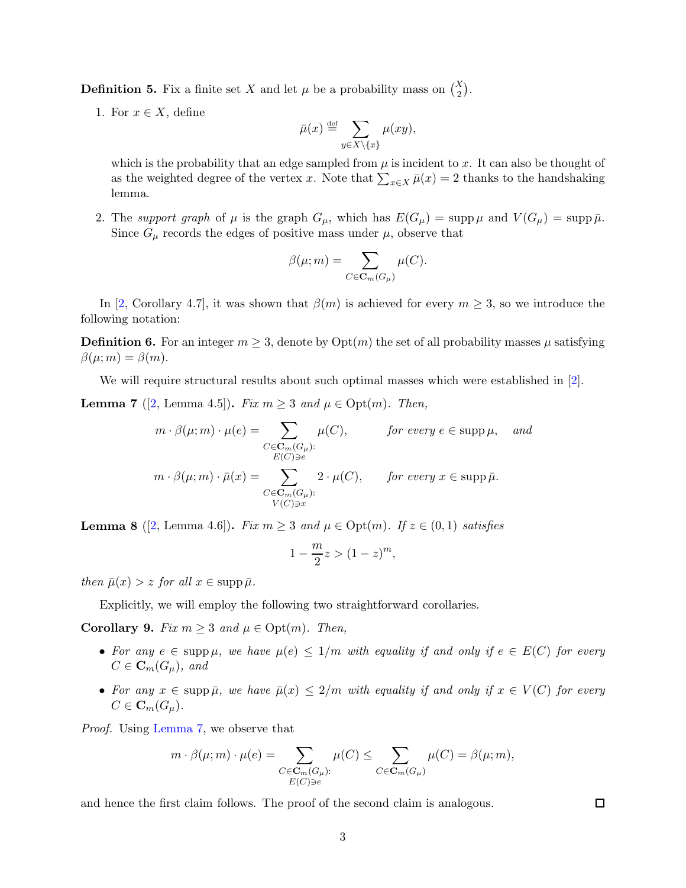**Definition 5.** Fix a finite set X and let  $\mu$  be a probability mass on  $\binom{X}{2}$ .

1. For  $x \in X$ , define

$$
\bar{\mu}(x) \stackrel{\text{def}}{=} \sum_{y \in X \backslash \{x\}} \mu(xy),
$$

which is the probability that an edge sampled from  $\mu$  is incident to x. It can also be thought of as the weighted degree of the vertex x. Note that  $\sum_{x \in X} \bar{\mu}(x) = 2$  thanks to the handshaking lemma.

2. The *support graph* of  $\mu$  is the graph  $G_{\mu}$ , which has  $E(G_{\mu}) = \text{supp} \mu$  and  $V(G_{\mu}) = \text{supp} \bar{\mu}$ . Since  $G_{\mu}$  records the edges of positive mass under  $\mu$ , observe that

$$
\beta(\mu; m) = \sum_{C \in \mathbf{C}_m(G_{\mu})} \mu(C).
$$

In [\[2,](#page-6-5) Corollary 4.7], it was shown that  $\beta(m)$  is achieved for every  $m \geq 3$ , so we introduce the following notation:

**Definition 6.** For an integer  $m \geq 3$ , denote by  $Opt(m)$  the set of all probability masses  $\mu$  satisfying  $\beta(\mu;m) = \beta(m).$ 

<span id="page-2-0"></span>We will require structural results about such optimal masses which were established in [\[2\]](#page-6-5).

**Lemma 7** ([\[2,](#page-6-5) Lemma 4.5]). *Fix*  $m \geq 3$  *and*  $\mu \in \text{Opt}(m)$ . *Then,* 

$$
m \cdot \beta(\mu; m) \cdot \mu(e) = \sum_{\substack{C \in \mathbf{C}_m(G_\mu): \\ E(C) \ni e}} \mu(C), \qquad \text{for every } e \in \text{supp } \mu, \text{ and}
$$

$$
m \cdot \beta(\mu; m) \cdot \bar{\mu}(x) = \sum_{\substack{C \in \mathbf{C}_m(G_\mu): \\ V(C) \ni x}} 2 \cdot \mu(C), \qquad \text{for every } x \in \text{supp } \bar{\mu}.
$$

<span id="page-2-1"></span>**Lemma 8** ([\[2,](#page-6-5) Lemma 4.6]). *Fix*  $m \geq 3$  *and*  $\mu \in \text{Opt}(m)$ . If  $z \in (0,1)$  *satisfies* 

$$
1 - \frac{m}{2}z > (1 - z)^m,
$$

*then*  $\bar{\mu}(x) > z$  *for all*  $x \in \text{supp }\bar{\mu}$ *.* 

<span id="page-2-2"></span>Explicitly, we will employ the following two straightforward corollaries.

Corollary 9. *Fix*  $m \geq 3$  *and*  $\mu \in \text{Opt}(m)$ *. Then,* 

- For any  $e \in \text{supp }\mu$ , we have  $\mu(e) \leq 1/m$  with equality if and only if  $e \in E(C)$  for every  $C \in \mathbf{C}_m(G_\mu)$ , and
- For any  $x \in \text{supp }\bar{\mu}$ , we have  $\bar{\mu}(x) \leq 2/m$  with equality if and only if  $x \in V(C)$  for every  $C \in \mathbf{C}_m(G_\mu)$ .

*Proof.* Using [Lemma 7,](#page-2-0) we observe that

$$
m \cdot \beta(\mu; m) \cdot \mu(e) = \sum_{\substack{C \in \mathbf{C}_m(G_\mu): \\ E(C) \ni e}} \mu(C) \le \sum_{C \in \mathbf{C}_m(G_\mu)} \mu(C) = \beta(\mu; m),
$$

<span id="page-2-3"></span>and hence the first claim follows. The proof of the second claim is analogous.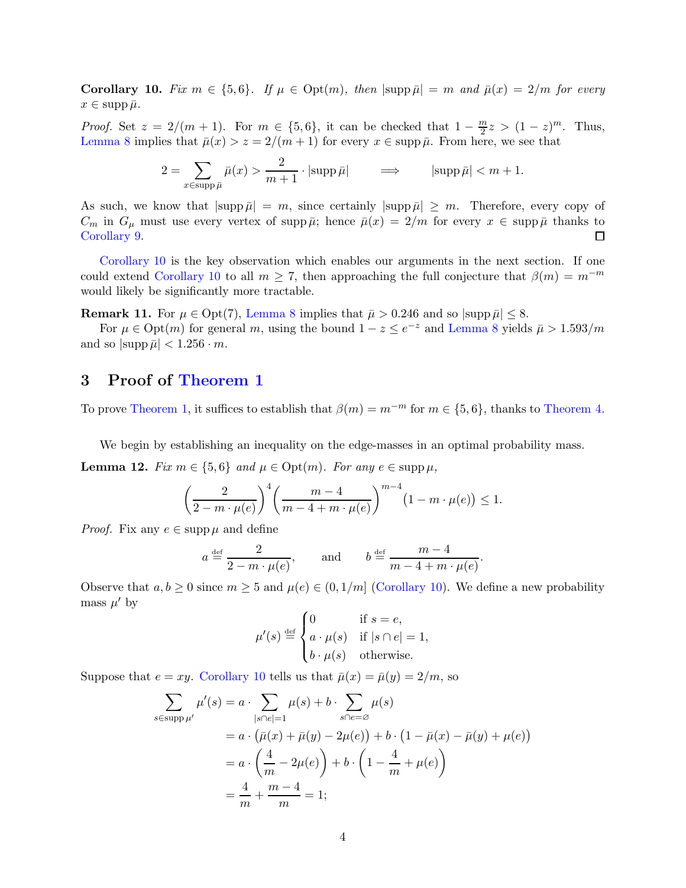**Corollary 10.** Fix  $m \in \{5, 6\}$ . If  $\mu \in \text{Opt}(m)$ , then  $|\text{supp }\bar{\mu}| = m$  and  $\bar{\mu}(x) = 2/m$  for every  $x \in \text{supp }\bar{\mu}.$ 

*Proof.* Set  $z = 2/(m + 1)$ . For  $m \in \{5, 6\}$ , it can be checked that  $1 - \frac{m}{2}$  $\frac{m}{2}z > (1-z)^m$ . Thus, [Lemma 8](#page-2-1) implies that  $\bar{\mu}(x) > z = 2/(m+1)$  for every  $x \in \text{supp }\bar{\mu}$ . From here, we see that

$$
2 = \sum_{x \in \text{supp}\,\bar{\mu}} \bar{\mu}(x) > \frac{2}{m+1} \cdot |\text{supp}\,\bar{\mu}| \qquad \Longrightarrow \qquad |\text{supp}\,\bar{\mu}| < m+1.
$$

As such, we know that  $|\text{supp }\bar{\mu}| = m$ , since certainly  $|\text{supp }\bar{\mu}| \geq m$ . Therefore, every copy of  $C_m$  in  $G_\mu$  must use every vertex of supp  $\bar{\mu}$ ; hence  $\bar{\mu}(x) = 2/m$  for every  $x \in \text{supp }\bar{\mu}$  thanks to  $\Box$ [Corollary 9.](#page-2-2)

[Corollary 10](#page-2-3) is the key observation which enables our arguments in the next section. If one could extend [Corollary 10](#page-2-3) to all  $m \geq 7$ , then approaching the full conjecture that  $\beta(m) = m^{-m}$ would likely be significantly more tractable.

**Remark 11.** For  $\mu \in \text{Opt}(7)$ , [Lemma 8](#page-2-1) implies that  $\bar{\mu} > 0.246$  and so  $|\text{supp }\bar{\mu}| \leq 8$ .

For  $\mu \in \text{Opt}(m)$  for general m, using the bound  $1 - z \le e^{-z}$  and [Lemma 8](#page-2-1) yields  $\bar{\mu} > 1.593/m$ and so  $|\text{supp }\bar{\mu}| < 1.256 \cdot m$ .

### <span id="page-3-0"></span>3 Proof of [Theorem 1](#page-0-1)

To prove [Theorem 1,](#page-0-1) it suffices to establish that  $\beta(m) = m^{-m}$  for  $m \in \{5, 6\}$ , thanks to [Theorem 4.](#page-1-1)

<span id="page-3-1"></span>We begin by establishing an inequality on the edge-masses in an optimal probability mass.

**Lemma 12.** *Fix*  $m \in \{5, 6\}$  *and*  $\mu \in \text{Opt}(m)$ *. For any*  $e \in \text{supp }\mu$ ,

$$
\left(\frac{2}{2-m\cdot\mu(e)}\right)^4 \left(\frac{m-4}{m-4+m\cdot\mu(e)}\right)^{m-4} \left(1-m\cdot\mu(e)\right) \le 1.
$$

*Proof.* Fix any  $e \in \text{supp} \mu$  and define

$$
a \stackrel{\text{def}}{=} \frac{2}{2 - m \cdot \mu(e)},
$$
 and  $b \stackrel{\text{def}}{=} \frac{m - 4}{m - 4 + m \cdot \mu(e)}.$ 

Observe that  $a, b \ge 0$  since  $m \ge 5$  and  $\mu(e) \in (0, 1/m]$  [\(Corollary 10\)](#page-2-3). We define a new probability mass  $\mu'$  by

$$
\mu'(s) \stackrel{\text{def}}{=} \begin{cases} 0 & \text{if } s = e, \\ a \cdot \mu(s) & \text{if } |s \cap e| = 1, \\ b \cdot \mu(s) & \text{otherwise.} \end{cases}
$$

Suppose that  $e = xy$ . [Corollary 10](#page-2-3) tells us that  $\bar{\mu}(x) = \bar{\mu}(y) = 2/m$ , so

$$
\sum_{s \in \text{supp }\mu'} \mu'(s) = a \cdot \sum_{|s \cap e| = 1} \mu(s) + b \cdot \sum_{s \cap e = \varnothing} \mu(s)
$$
  
=  $a \cdot (\bar{\mu}(x) + \bar{\mu}(y) - 2\mu(e)) + b \cdot (1 - \bar{\mu}(x) - \bar{\mu}(y) + \mu(e))$   
=  $a \cdot \left(\frac{4}{m} - 2\mu(e)\right) + b \cdot \left(1 - \frac{4}{m} + \mu(e)\right)$   
=  $\frac{4}{m} + \frac{m - 4}{m} = 1;$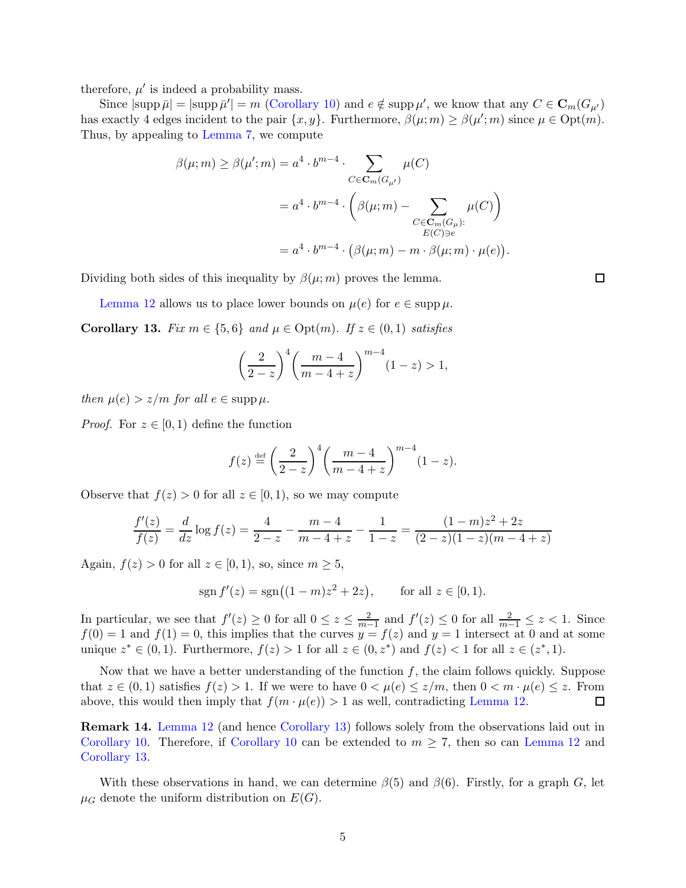therefore,  $\mu'$  is indeed a probability mass.

Since  $|\text{supp }\bar{\mu}| = |\text{supp }\bar{\mu}'| = m$  [\(Corollary 10\)](#page-2-3) and  $e \notin \text{supp }\mu'$ , we know that any  $C \in \mathbf{C}_m(G_{\mu'})$ has exactly 4 edges incident to the pair  $\{x, y\}$ . Furthermore,  $\beta(\mu; m) \geq \beta(\mu'; m)$  since  $\mu \in \text{Opt}(m)$ . Thus, by appealing to [Lemma 7,](#page-2-0) we compute

$$
\beta(\mu; m) \ge \beta(\mu'; m) = a^4 \cdot b^{m-4} \cdot \sum_{C \in \mathbf{C}_m(G_{\mu'})} \mu(C)
$$

$$
= a^4 \cdot b^{m-4} \cdot \left(\beta(\mu; m) - \sum_{\substack{C \in \mathbf{C}_m(G_{\mu}): \\ E(C) \ni e}} \mu(C)\right)
$$

$$
= a^4 \cdot b^{m-4} \cdot \left(\beta(\mu; m) - m \cdot \beta(\mu; m) \cdot \mu(e)\right).
$$

Dividing both sides of this inequality by  $\beta(\mu; m)$  proves the lemma.

<span id="page-4-0"></span>[Lemma 12](#page-3-1) allows us to place lower bounds on  $\mu(e)$  for  $e \in \text{supp }\mu$ .

Corollary 13. *Fix*  $m \in \{5, 6\}$  *and*  $\mu \in \text{Opt}(m)$ *. If*  $z \in (0, 1)$  *satisfies* 

$$
\left(\frac{2}{2-z}\right)^4 \left(\frac{m-4}{m-4+z}\right)^{m-4} (1-z) > 1,
$$

*then*  $\mu(e) > z/m$  *for all*  $e \in \text{supp } \mu$ .

*Proof.* For  $z \in [0, 1)$  define the function

$$
f(z) \stackrel{\text{def}}{=} \left(\frac{2}{2-z}\right)^4 \left(\frac{m-4}{m-4+z}\right)^{m-4} (1-z).
$$

Observe that  $f(z) > 0$  for all  $z \in [0, 1)$ , so we may compute

$$
\frac{f'(z)}{f(z)} = \frac{d}{dz} \log f(z) = \frac{4}{2-z} - \frac{m-4}{m-4+z} - \frac{1}{1-z} = \frac{(1-m)z^2 + 2z}{(2-z)(1-z)(m-4+z)}
$$

Again,  $f(z) > 0$  for all  $z \in [0, 1)$ , so, since  $m \geq 5$ ,

$$
sgn f'(z) = sgn((1 - m)z^2 + 2z), \quad \text{for all } z \in [0, 1).
$$

In particular, we see that  $f'(z) \geq 0$  for all  $0 \leq z \leq \frac{2}{m}$  $\frac{2}{m-1}$  and  $f'(z) \le 0$  for all  $\frac{2}{m-1} \le z < 1$ . Since  $f(0) = 1$  and  $f(1) = 0$ , this implies that the curves  $y = f(z)$  and  $y = 1$  intersect at 0 and at some unique  $z^* \in (0,1)$ . Furthermore,  $f(z) > 1$  for all  $z \in (0, z^*)$  and  $f(z) < 1$  for all  $z \in (z^*, 1)$ .

Now that we have a better understanding of the function  $f$ , the claim follows quickly. Suppose that  $z \in (0,1)$  satisfies  $f(z) > 1$ . If we were to have  $0 < \mu(e) \leq z/m$ , then  $0 < m \cdot \mu(e) \leq z$ . From above, this would then imply that  $f(m \cdot \mu(e)) > 1$  as well, contradicting [Lemma 12.](#page-3-1)  $\Box$ 

Remark 14. [Lemma 12](#page-3-1) (and hence [Corollary 13\)](#page-4-0) follows solely from the observations laid out in [Corollary 10.](#page-2-3) Therefore, if [Corollary 10](#page-2-3) can be extended to  $m \geq 7$ , then so can [Lemma 12](#page-3-1) and [Corollary 13.](#page-4-0)

With these observations in hand, we can determine  $\beta(5)$  and  $\beta(6)$ . Firstly, for a graph G, let  $\mu_G$  denote the uniform distribution on  $E(G)$ .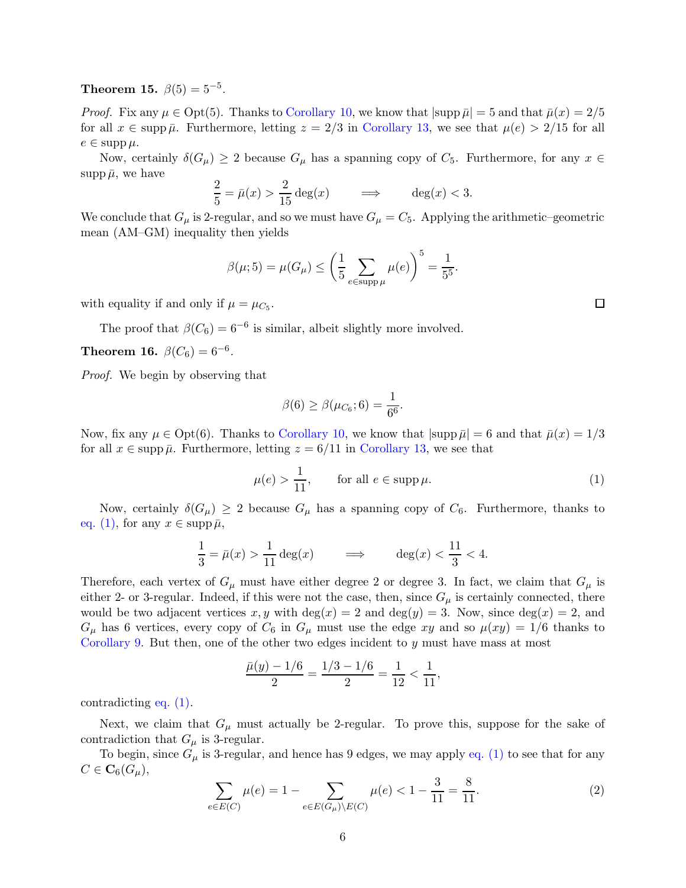**Theorem 15.**  $\beta(5) = 5^{-5}$ .

*Proof.* Fix any  $\mu \in \text{Opt}(5)$ . Thanks to [Corollary 10,](#page-2-3) we know that  $|\text{supp }\bar{\mu}| = 5$  and that  $\bar{\mu}(x) = 2/5$ for all  $x \in \text{supp }\bar{\mu}$ . Furthermore, letting  $z = 2/3$  in [Corollary 13,](#page-4-0) we see that  $\mu(e) > 2/15$  for all  $e \in \text{supp}\,\mu.$ 

Now, certainly  $\delta(G_\mu) \geq 2$  because  $G_\mu$  has a spanning copy of  $C_5$ . Furthermore, for any  $x \in$ supp  $\bar{\mu}$ , we have

$$
\frac{2}{5} = \bar{\mu}(x) > \frac{2}{15} \deg(x) \qquad \implies \qquad \deg(x) < 3.
$$

We conclude that  $G_{\mu}$  is 2-regular, and so we must have  $G_{\mu} = C_5$ . Applying the arithmetic–geometric mean (AM–GM) inequality then yields

$$
\beta(\mu; 5) = \mu(G_{\mu}) \le \left(\frac{1}{5} \sum_{e \in \text{supp}\,\mu} \mu(e)\right)^5 = \frac{1}{5^5}.
$$

with equality if and only if  $\mu = \mu_{C_5}$ .

The proof that  $\beta(C_6) = 6^{-6}$  is similar, albeit slightly more involved.

**Theorem 16.**  $\beta(C_6) = 6^{-6}$ .

*Proof.* We begin by observing that

$$
\beta(6) \ge \beta(\mu_{C_6}; 6) = \frac{1}{6^6}.
$$

Now, fix any  $\mu \in \text{Opt}(6)$ . Thanks to [Corollary 10,](#page-2-3) we know that  $|\text{supp }\bar{\mu}| = 6$  and that  $\bar{\mu}(x) = 1/3$ for all  $x \in \text{supp }\bar{\mu}$ . Furthermore, letting  $z = 6/11$  in [Corollary 13,](#page-4-0) we see that

<span id="page-5-0"></span>
$$
\mu(e) > \frac{1}{11}, \qquad \text{for all } e \in \text{supp}\,\mu. \tag{1}
$$

Now, certainly  $\delta(G_\mu) \geq 2$  because  $G_\mu$  has a spanning copy of  $C_6$ . Furthermore, thanks to [eq. \(1\),](#page-5-0) for any  $x \in \text{supp }\bar{\mu}$ ,

$$
\frac{1}{3} = \bar{\mu}(x) > \frac{1}{11} \deg(x) \qquad \implies \qquad \deg(x) < \frac{11}{3} < 4.
$$

Therefore, each vertex of  $G_{\mu}$  must have either degree 2 or degree 3. In fact, we claim that  $G_{\mu}$  is either 2- or 3-regular. Indeed, if this were not the case, then, since  $G_{\mu}$  is certainly connected, there would be two adjacent vertices x, y with  $\deg(x) = 2$  and  $\deg(y) = 3$ . Now, since  $\deg(x) = 2$ , and  $G_{\mu}$  has 6 vertices, every copy of  $C_6$  in  $G_{\mu}$  must use the edge xy and so  $\mu(xy) = 1/6$  thanks to [Corollary 9.](#page-2-2) But then, one of the other two edges incident to  $y$  must have mass at most

$$
\frac{\bar{\mu}(y) - 1/6}{2} = \frac{1/3 - 1/6}{2} = \frac{1}{12} < \frac{1}{11},
$$

contradicting [eq. \(1\).](#page-5-0)

Next, we claim that  $G_{\mu}$  must actually be 2-regular. To prove this, suppose for the sake of contradiction that  $G_{\mu}$  is 3-regular.

To begin, since  $G_{\mu}$  is 3-regular, and hence has 9 edges, we may apply [eq. \(1\)](#page-5-0) to see that for any  $C \in \mathbf{C}_6(G_\mu),$ 

<span id="page-5-1"></span>
$$
\sum_{e \in E(C)} \mu(e) = 1 - \sum_{e \in E(G_{\mu}) \setminus E(C)} \mu(e) < 1 - \frac{3}{11} = \frac{8}{11}.\tag{2}
$$